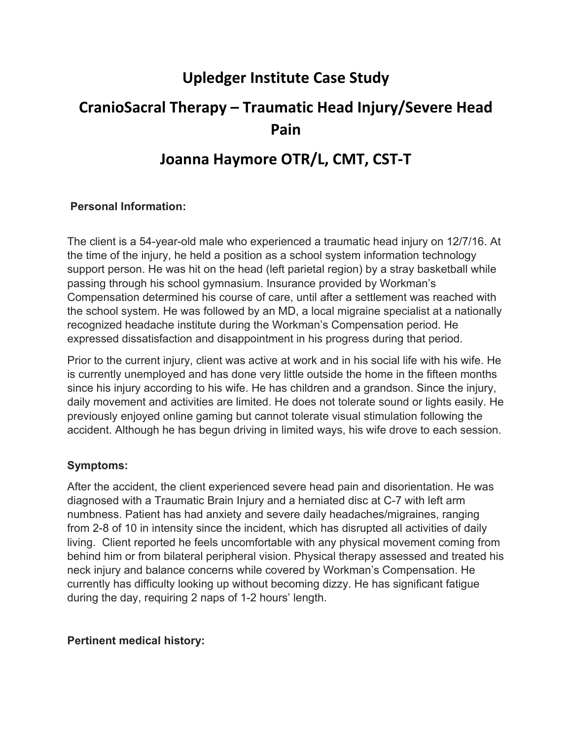## **Upledger Institute Case Study**

# **CranioSacral Therapy – Traumatic Head Injury/Severe Head Pain**

## **Joanna Haymore OTR/L, CMT, CST‐T**

#### **Personal Information:**

The client is a 54-year-old male who experienced a traumatic head injury on 12/7/16. At the time of the injury, he held a position as a school system information technology support person. He was hit on the head (left parietal region) by a stray basketball while passing through his school gymnasium. Insurance provided by Workman's Compensation determined his course of care, until after a settlement was reached with the school system. He was followed by an MD, a local migraine specialist at a nationally recognized headache institute during the Workman's Compensation period. He expressed dissatisfaction and disappointment in his progress during that period.

Prior to the current injury, client was active at work and in his social life with his wife. He is currently unemployed and has done very little outside the home in the fifteen months since his injury according to his wife. He has children and a grandson. Since the injury, daily movement and activities are limited. He does not tolerate sound or lights easily. He previously enjoyed online gaming but cannot tolerate visual stimulation following the accident. Although he has begun driving in limited ways, his wife drove to each session.

#### **Symptoms:**

After the accident, the client experienced severe head pain and disorientation. He was diagnosed with a Traumatic Brain Injury and a herniated disc at C-7 with left arm numbness. Patient has had anxiety and severe daily headaches/migraines, ranging from 2-8 of 10 in intensity since the incident, which has disrupted all activities of daily living. Client reported he feels uncomfortable with any physical movement coming from behind him or from bilateral peripheral vision. Physical therapy assessed and treated his neck injury and balance concerns while covered by Workman's Compensation. He currently has difficulty looking up without becoming dizzy. He has significant fatigue during the day, requiring 2 naps of 1-2 hours' length.

#### **Pertinent medical history:**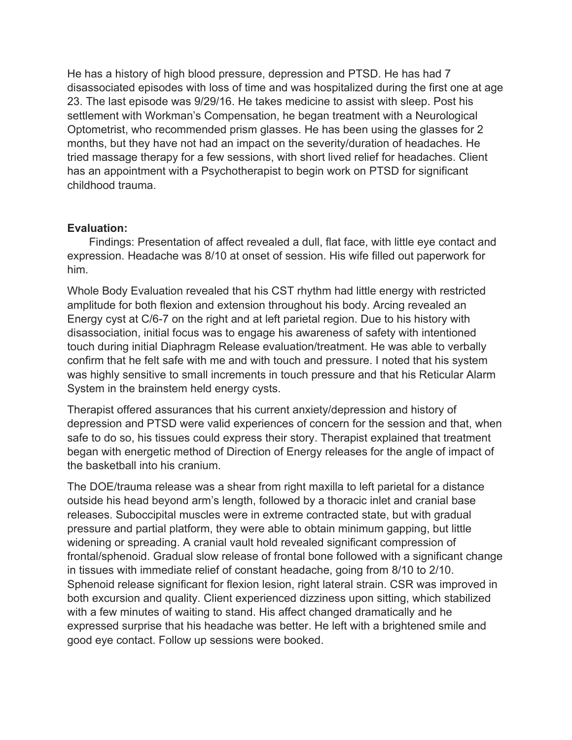He has a history of high blood pressure, depression and PTSD. He has had 7 disassociated episodes with loss of time and was hospitalized during the first one at age 23. The last episode was 9/29/16. He takes medicine to assist with sleep. Post his settlement with Workman's Compensation, he began treatment with a Neurological Optometrist, who recommended prism glasses. He has been using the glasses for 2 months, but they have not had an impact on the severity/duration of headaches. He tried massage therapy for a few sessions, with short lived relief for headaches. Client has an appointment with a Psychotherapist to begin work on PTSD for significant childhood trauma.

#### **Evaluation:**

 Findings: Presentation of affect revealed a dull, flat face, with little eye contact and expression. Headache was 8/10 at onset of session. His wife filled out paperwork for him.

Whole Body Evaluation revealed that his CST rhythm had little energy with restricted amplitude for both flexion and extension throughout his body. Arcing revealed an Energy cyst at C/6-7 on the right and at left parietal region. Due to his history with disassociation, initial focus was to engage his awareness of safety with intentioned touch during initial Diaphragm Release evaluation/treatment. He was able to verbally confirm that he felt safe with me and with touch and pressure. I noted that his system was highly sensitive to small increments in touch pressure and that his Reticular Alarm System in the brainstem held energy cysts.

Therapist offered assurances that his current anxiety/depression and history of depression and PTSD were valid experiences of concern for the session and that, when safe to do so, his tissues could express their story. Therapist explained that treatment began with energetic method of Direction of Energy releases for the angle of impact of the basketball into his cranium.

The DOE/trauma release was a shear from right maxilla to left parietal for a distance outside his head beyond arm's length, followed by a thoracic inlet and cranial base releases. Suboccipital muscles were in extreme contracted state, but with gradual pressure and partial platform, they were able to obtain minimum gapping, but little widening or spreading. A cranial vault hold revealed significant compression of frontal/sphenoid. Gradual slow release of frontal bone followed with a significant change in tissues with immediate relief of constant headache, going from 8/10 to 2/10. Sphenoid release significant for flexion lesion, right lateral strain. CSR was improved in both excursion and quality. Client experienced dizziness upon sitting, which stabilized with a few minutes of waiting to stand. His affect changed dramatically and he expressed surprise that his headache was better. He left with a brightened smile and good eye contact. Follow up sessions were booked.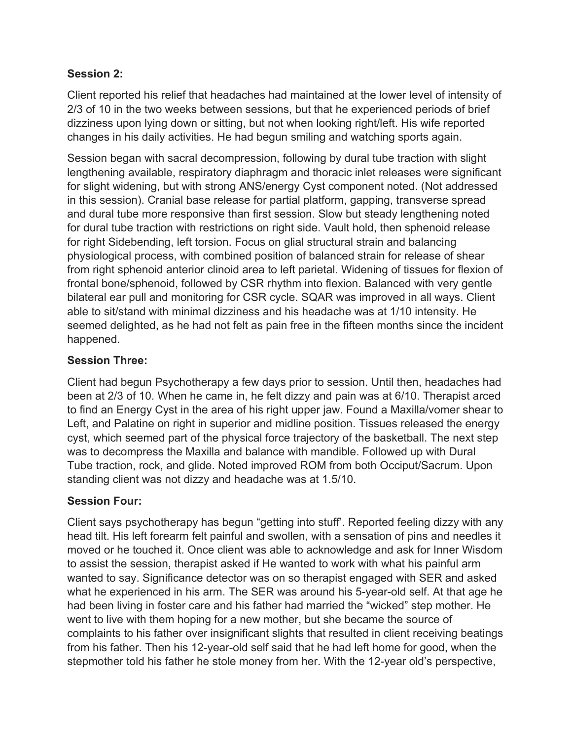### **Session 2:**

Client reported his relief that headaches had maintained at the lower level of intensity of 2/3 of 10 in the two weeks between sessions, but that he experienced periods of brief dizziness upon lying down or sitting, but not when looking right/left. His wife reported changes in his daily activities. He had begun smiling and watching sports again.

Session began with sacral decompression, following by dural tube traction with slight lengthening available, respiratory diaphragm and thoracic inlet releases were significant for slight widening, but with strong ANS/energy Cyst component noted. (Not addressed in this session). Cranial base release for partial platform, gapping, transverse spread and dural tube more responsive than first session. Slow but steady lengthening noted for dural tube traction with restrictions on right side. Vault hold, then sphenoid release for right Sidebending, left torsion. Focus on glial structural strain and balancing physiological process, with combined position of balanced strain for release of shear from right sphenoid anterior clinoid area to left parietal. Widening of tissues for flexion of frontal bone/sphenoid, followed by CSR rhythm into flexion. Balanced with very gentle bilateral ear pull and monitoring for CSR cycle. SQAR was improved in all ways. Client able to sit/stand with minimal dizziness and his headache was at 1/10 intensity. He seemed delighted, as he had not felt as pain free in the fifteen months since the incident happened.

## **Session Three:**

Client had begun Psychotherapy a few days prior to session. Until then, headaches had been at 2/3 of 10. When he came in, he felt dizzy and pain was at 6/10. Therapist arced to find an Energy Cyst in the area of his right upper jaw. Found a Maxilla/vomer shear to Left, and Palatine on right in superior and midline position. Tissues released the energy cyst, which seemed part of the physical force trajectory of the basketball. The next step was to decompress the Maxilla and balance with mandible. Followed up with Dural Tube traction, rock, and glide. Noted improved ROM from both Occiput/Sacrum. Upon standing client was not dizzy and headache was at 1.5/10.

## **Session Four:**

Client says psychotherapy has begun "getting into stuff'. Reported feeling dizzy with any head tilt. His left forearm felt painful and swollen, with a sensation of pins and needles it moved or he touched it. Once client was able to acknowledge and ask for Inner Wisdom to assist the session, therapist asked if He wanted to work with what his painful arm wanted to say. Significance detector was on so therapist engaged with SER and asked what he experienced in his arm. The SER was around his 5-year-old self. At that age he had been living in foster care and his father had married the "wicked" step mother. He went to live with them hoping for a new mother, but she became the source of complaints to his father over insignificant slights that resulted in client receiving beatings from his father. Then his 12-year-old self said that he had left home for good, when the stepmother told his father he stole money from her. With the 12-year old's perspective,